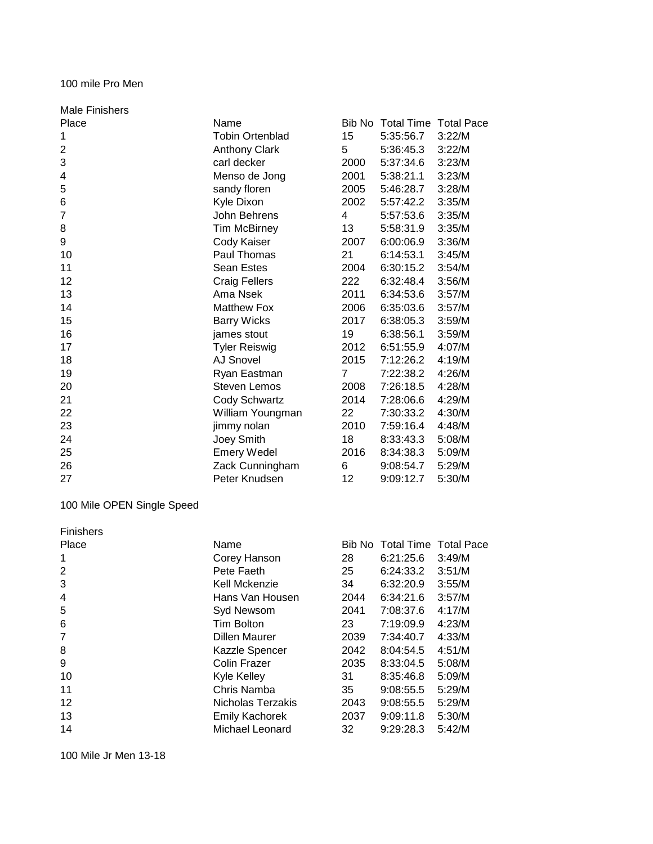### 100 mile Pro Men

| <b>Male Finishers</b> |                        |        |                              |        |
|-----------------------|------------------------|--------|------------------------------|--------|
| Place                 | Name                   | Bib No | <b>Total Time Total Pace</b> |        |
| 1                     | <b>Tobin Ortenblad</b> | 15     | 5:35:56.7                    | 3:22/M |
| 2                     | <b>Anthony Clark</b>   | 5      | 5:36:45.3                    | 3:22/M |
| 3                     | carl decker            | 2000   | 5:37:34.6                    | 3:23/M |
| 4                     | Menso de Jong          | 2001   | 5:38:21.1                    | 3:23/M |
| 5                     | sandy floren           | 2005   | 5:46:28.7                    | 3:28/M |
| 6                     | Kyle Dixon             | 2002   | 5:57:42.2                    | 3:35/M |
| 7                     | John Behrens           | 4      | 5:57:53.6                    | 3:35/M |
| 8                     | <b>Tim McBirney</b>    | 13     | 5:58:31.9                    | 3:35/M |
| 9                     | Cody Kaiser            | 2007   | 6:00:06.9                    | 3:36/M |
| 10                    | Paul Thomas            | 21     | 6:14:53.1                    | 3:45/M |
| 11                    | Sean Estes             | 2004   | 6:30:15.2                    | 3:54/M |
| 12                    | <b>Craig Fellers</b>   | 222    | 6:32:48.4                    | 3:56/M |
| 13                    | Ama Nsek               | 2011   | 6:34:53.6                    | 3:57/M |
| 14                    | <b>Matthew Fox</b>     | 2006   | 6:35:03.6                    | 3:57/M |
| 15                    | <b>Barry Wicks</b>     | 2017   | 6:38:05.3                    | 3:59/M |
| 16                    | james stout            | 19     | 6:38:56.1                    | 3:59/M |
| 17                    | <b>Tyler Reiswig</b>   | 2012   | 6:51:55.9                    | 4:07/M |
| 18                    | <b>AJ Snovel</b>       | 2015   | 7:12:26.2                    | 4:19/M |
| 19                    | Ryan Eastman           | 7      | 7:22:38.2                    | 4:26/M |
| 20                    | <b>Steven Lemos</b>    | 2008   | 7:26:18.5                    | 4:28/M |
| 21                    | Cody Schwartz          | 2014   | 7:28:06.6                    | 4:29/M |
| 22                    | William Youngman       | 22     | 7:30:33.2                    | 4:30/M |
| 23                    | jimmy nolan            | 2010   | 7:59:16.4                    | 4:48/M |
| 24                    | Joey Smith             | 18     | 8:33:43.3                    | 5:08/M |
| 25                    | <b>Emery Wedel</b>     | 2016   | 8:34:38.3                    | 5:09/M |
| 26                    | Zack Cunningham        | 6      | 9:08:54.7                    | 5:29/M |
| 27                    | Peter Knudsen          | 12     | 9:09:12.7                    | 5:30/M |

## 100 Mile OPEN Single Speed

| <b>Finishers</b> |                       |        |                       |        |
|------------------|-----------------------|--------|-----------------------|--------|
| Place            | Name                  | Bib No | Total Time Total Pace |        |
|                  | Corey Hanson          | 28     | 6:21:25.6             | 3:49/M |
| 2                | Pete Faeth            | 25     | 6:24:33.2             | 3:51/M |
| 3                | Kell Mckenzie         | 34     | 6:32:20.9             | 3:55/M |
| 4                | Hans Van Housen       | 2044   | 6:34:21.6             | 3:57/M |
| 5                | Syd Newsom            | 2041   | 7:08:37.6             | 4:17/M |
| 6                | Tim Bolton            | 23     | 7:19:09.9             | 4:23/M |
|                  | <b>Dillen Maurer</b>  | 2039   | 7:34:40.7             | 4:33/M |
| 8                | Kazzle Spencer        | 2042   | 8:04:54.5             | 4:51/M |
| 9                | Colin Frazer          | 2035   | 8:33:04.5             | 5:08/M |
| 10               | Kyle Kelley           | 31     | 8:35:46.8             | 5:09/M |
| 11               | Chris Namba           | 35     | 9:08:55.5             | 5:29/M |
| 12               | Nicholas Terzakis     | 2043   | 9:08:55.5             | 5:29/M |
| 13               | <b>Emily Kachorek</b> | 2037   | 9:09:11.8             | 5:30/M |
| 14               | Michael Leonard       | 32     | 9:29:28.3             | 5:42/M |

100 Mile Jr Men 13-18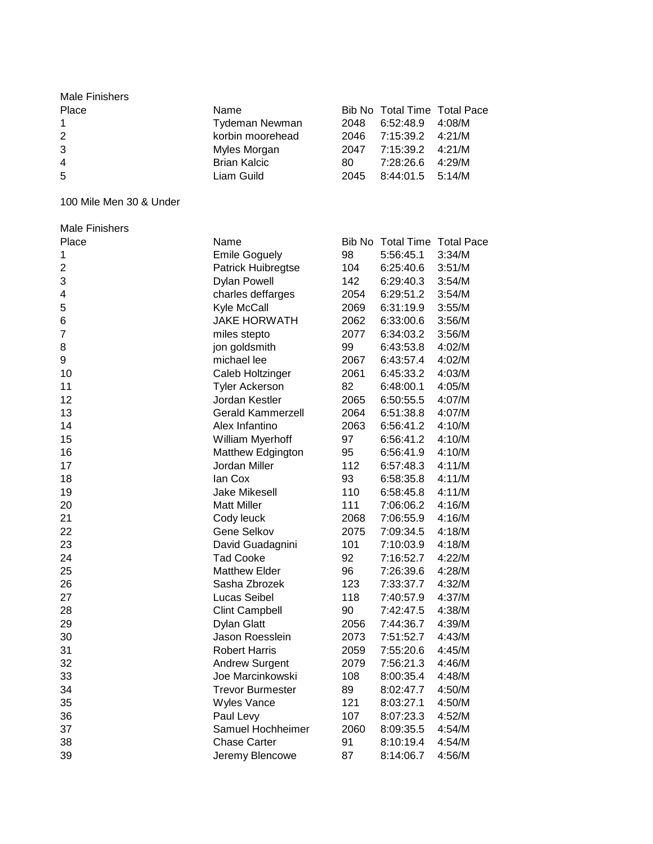| Male Finishers |                       |      |                              |        |
|----------------|-----------------------|------|------------------------------|--------|
| Place          | Name                  |      | Bib No Total Time Total Pace |        |
|                | <b>Tydeman Newman</b> |      | 2048 6:52:48.9 4:08/M        |        |
| 2              | korbin moorehead      |      | 2046 7:15:39.2 4:21/M        |        |
| 3              | Myles Morgan          |      | 2047 7:15:39.2 4:21/M        |        |
| $\overline{4}$ | <b>Brian Kalcic</b>   | 80.  | 7:28:26.6                    | 4:29/M |
| -5             | Liam Guild            | 2045 | $8:44:01.5$ 5:14/M           |        |
|                |                       |      |                              |        |

100 Mile Men 30 & Under

| <b>Male Finishers</b> |                           |      |                              |        |
|-----------------------|---------------------------|------|------------------------------|--------|
| Place                 | Name                      |      | Bib No Total Time Total Pace |        |
| 1                     | <b>Emile Goguely</b>      | 98   | 5:56:45.1                    | 3:34/M |
| 2                     | <b>Patrick Huibregtse</b> | 104  | 6:25:40.6                    | 3:51/M |
| 3                     | <b>Dylan Powell</b>       | 142  | 6:29:40.3                    | 3:54/M |
| 4                     | charles deffarges         | 2054 | 6:29:51.2                    | 3:54/M |
| 5                     | Kyle McCall               | 2069 | 6:31:19.9                    | 3:55/M |
| 6                     | <b>JAKE HORWATH</b>       | 2062 | 6:33:00.6                    | 3:56/M |
| 7                     | miles stepto              | 2077 | 6:34:03.2                    | 3:56/M |
| 8                     | jon goldsmith             | 99   | 6:43:53.8                    | 4:02/M |
| 9                     | michael lee               | 2067 | 6:43:57.4                    | 4:02/M |
| 10                    | Caleb Holtzinger          | 2061 | 6:45:33.2                    | 4:03/M |
| 11                    | <b>Tyler Ackerson</b>     | 82   | 6:48:00.1                    | 4:05/M |
| 12                    | Jordan Kestler            | 2065 | 6:50:55.5                    | 4:07/M |
| 13                    | <b>Gerald Kammerzell</b>  | 2064 | 6:51:38.8                    | 4:07/M |
| 14                    | Alex Infantino            | 2063 | 6:56:41.2                    | 4:10/M |
| 15                    | William Myerhoff          | 97   | 6:56:41.2                    | 4:10/M |
| 16                    | Matthew Edgington         | 95   | 6:56:41.9                    | 4:10/M |
| 17                    | Jordan Miller             | 112  | 6:57:48.3                    | 4:11/M |
| 18                    | lan Cox                   | 93   | 6:58:35.8                    | 4:11/M |
| 19                    | Jake Mikesell             | 110  | 6:58:45.8                    | 4:11/M |
| 20                    | <b>Matt Miller</b>        | 111  | 7:06:06.2                    | 4:16/M |
| 21                    | Cody leuck                | 2068 | 7:06:55.9                    | 4:16/M |
| 22                    | Gene Selkov               | 2075 | 7:09:34.5                    | 4:18/M |
| 23                    | David Guadagnini          | 101  | 7:10:03.9                    | 4:18/M |
| 24                    | <b>Tad Cooke</b>          | 92   | 7:16:52.7                    | 4:22/M |
| 25                    | <b>Matthew Elder</b>      | 96   | 7:26:39.6                    | 4:28/M |
| 26                    | Sasha Zbrozek             | 123  | 7:33:37.7                    | 4:32/M |
| 27                    | Lucas Seibel              | 118  | 7:40:57.9                    | 4:37/M |
| 28                    | <b>Clint Campbell</b>     | 90   | 7:42:47.5                    | 4:38/M |
| 29                    | Dylan Glatt               | 2056 | 7:44:36.7                    | 4:39/M |
| 30                    | Jason Roesslein           | 2073 | 7:51:52.7                    | 4:43/M |
| 31                    | <b>Robert Harris</b>      | 2059 | 7:55:20.6                    | 4:45/M |
| 32                    | <b>Andrew Surgent</b>     | 2079 | 7:56:21.3                    | 4:46/M |
| 33                    | Joe Marcinkowski          | 108  | 8:00:35.4                    | 4:48/M |
| 34                    | <b>Trevor Burmester</b>   | 89   | 8:02:47.7                    | 4:50/M |
| 35                    | <b>Wyles Vance</b>        | 121  | 8:03:27.1                    | 4:50/M |
| 36                    | Paul Levy                 | 107  | 8:07:23.3                    | 4:52/M |
| 37                    | Samuel Hochheimer         | 2060 | 8:09:35.5                    | 4:54/M |
| 38                    | Chase Carter              | 91   | 8:10:19.4                    | 4:54/M |
| 39                    | Jeremy Blencowe           | 87   | 8:14:06.7                    | 4:56/M |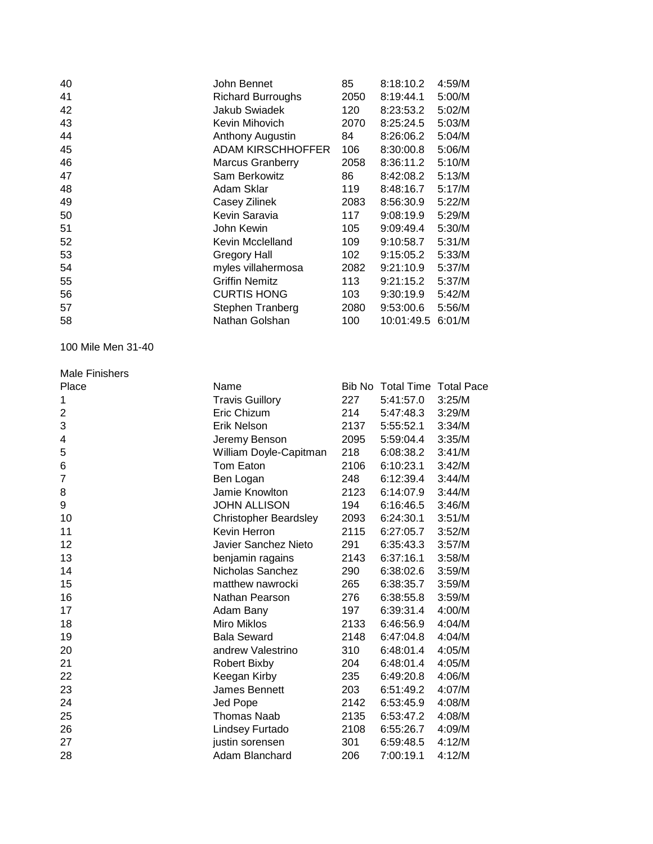| John Bennet              | 85   | 8:18:10.2 | 4:59/M     |
|--------------------------|------|-----------|------------|
| <b>Richard Burroughs</b> | 2050 | 8:19:44.1 | 5:00/M     |
| Jakub Swiadek            | 120  | 8:23:53.2 | 5:02/M     |
| Kevin Mihovich           | 2070 | 8:25:24.5 | 5:03/M     |
| Anthony Augustin         | 84   | 8:26:06.2 | 5:04/M     |
| <b>ADAM KIRSCHHOFFER</b> | 106  | 8:30:00.8 | 5:06/M     |
| <b>Marcus Granberry</b>  | 2058 | 8:36:11.2 | 5:10/M     |
| Sam Berkowitz            | 86   | 8:42:08.2 | 5:13/M     |
| Adam Sklar               | 119  | 8:48:16.7 | 5:17/M     |
| Casey Zilinek            | 2083 | 8:56:30.9 | 5:22/M     |
| Kevin Saravia            | 117  | 9:08:19.9 | 5:29/M     |
| John Kewin               | 105  | 9:09:49.4 | 5:30/M     |
| Kevin Mcclelland         | 109  | 9:10:58.7 | 5:31/M     |
| Gregory Hall             | 102  | 9:15:05.2 | 5:33/M     |
| myles villahermosa       | 2082 | 9:21:10.9 | 5:37/M     |
| <b>Griffin Nemitz</b>    | 113  | 9:21:15.2 | 5:37/M     |
| <b>CURTIS HONG</b>       | 103  | 9:30:19.9 | 5:42/M     |
| Stephen Tranberg         | 2080 | 9:53:00.6 | 5:56/M     |
| Nathan Golshan           | 100  |           | 6:01/M     |
|                          |      |           | 10:01:49.5 |

100 Mile Men 31-40

# Male Finishers<br>Place

| Place | Name                         |      | Bib No Total Time Total Pace |        |
|-------|------------------------------|------|------------------------------|--------|
| 1     | <b>Travis Guillory</b>       | 227  | 5:41:57.0                    | 3:25/M |
| 2     | Eric Chizum                  | 214  | 5:47:48.3                    | 3:29/M |
| 3     | Erik Nelson                  | 2137 | 5:55:52.1                    | 3:34/M |
| 4     | Jeremy Benson                | 2095 | 5:59:04.4                    | 3:35/M |
| 5     | William Doyle-Capitman       | 218  | 6:08:38.2                    | 3:41/M |
| 6     | Tom Eaton                    | 2106 | 6:10:23.1                    | 3:42/M |
| 7     | Ben Logan                    | 248  | 6:12:39.4                    | 3:44/M |
| 8     | Jamie Knowlton               | 2123 | 6:14:07.9                    | 3:44/M |
| 9     | <b>JOHN ALLISON</b>          | 194  | 6:16:46.5                    | 3:46/M |
| 10    | <b>Christopher Beardsley</b> | 2093 | 6:24:30.1                    | 3:51/M |
| 11    | Kevin Herron                 | 2115 | 6:27:05.7                    | 3:52/M |
| 12    | Javier Sanchez Nieto         | 291  | 6:35:43.3                    | 3:57/M |
| 13    | benjamin ragains             | 2143 | 6:37:16.1                    | 3:58/M |
| 14    | Nicholas Sanchez             | 290  | 6:38:02.6                    | 3:59/M |
| 15    | matthew nawrocki             | 265  | 6:38:35.7                    | 3:59/M |
| 16    | Nathan Pearson               | 276  | 6:38:55.8                    | 3:59/M |
| 17    | Adam Bany                    | 197  | 6:39:31.4                    | 4:00/M |
| 18    | Miro Miklos                  | 2133 | 6:46:56.9                    | 4:04/M |
| 19    | <b>Bala Seward</b>           | 2148 | 6:47:04.8                    | 4:04/M |
| 20    | andrew Valestrino            | 310  | 6:48:01.4                    | 4:05/M |
| 21    | Robert Bixby                 | 204  | 6:48:01.4                    | 4:05/M |
| 22    | Keegan Kirby                 | 235  | 6:49:20.8                    | 4:06/M |
| 23    | James Bennett                | 203  | 6:51:49.2                    | 4:07/M |
| 24    | Jed Pope                     | 2142 | 6:53:45.9                    | 4:08/M |
| 25    | Thomas Naab                  | 2135 | 6:53:47.2                    | 4:08/M |
| 26    | Lindsey Furtado              | 2108 | 6:55:26.7                    | 4:09/M |
| 27    | justin sorensen              | 301  | 6:59:48.5                    | 4:12/M |
| 28    | Adam Blanchard               | 206  | 7:00:19.1                    | 4:12/M |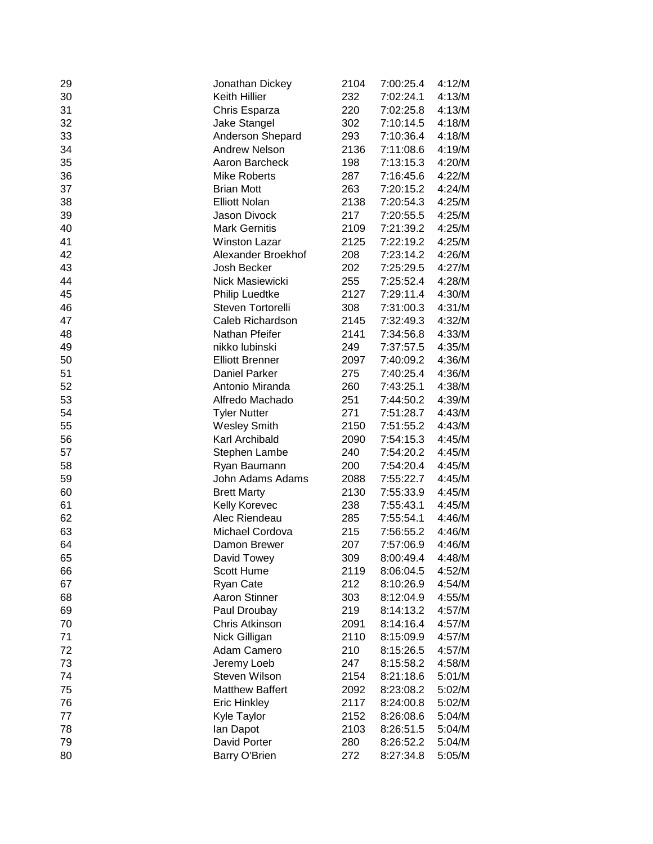| 29 | Jonathan Dickey        | 2104 | 7:00:25.4 | 4:12/M |
|----|------------------------|------|-----------|--------|
| 30 | Keith Hillier          | 232  | 7:02:24.1 | 4:13/M |
| 31 | Chris Esparza          | 220  | 7:02:25.8 | 4:13/M |
| 32 | Jake Stangel           | 302  | 7:10:14.5 | 4:18/M |
| 33 | Anderson Shepard       | 293  | 7:10:36.4 | 4:18/M |
| 34 | <b>Andrew Nelson</b>   | 2136 | 7:11:08.6 | 4:19/M |
| 35 | Aaron Barcheck         | 198  | 7:13:15.3 | 4:20/M |
| 36 | <b>Mike Roberts</b>    | 287  | 7:16:45.6 | 4:22/M |
| 37 | <b>Brian Mott</b>      | 263  | 7:20:15.2 | 4:24/M |
| 38 | <b>Elliott Nolan</b>   | 2138 | 7:20:54.3 | 4:25/M |
| 39 | Jason Divock           | 217  | 7:20:55.5 | 4:25/M |
| 40 | <b>Mark Gernitis</b>   | 2109 | 7:21:39.2 | 4:25/M |
| 41 | <b>Winston Lazar</b>   | 2125 | 7:22:19.2 | 4:25/M |
| 42 | Alexander Broekhof     | 208  | 7:23:14.2 | 4:26/M |
| 43 | Josh Becker            | 202  | 7:25:29.5 | 4:27/M |
| 44 | Nick Masiewicki        | 255  | 7:25:52.4 | 4:28/M |
| 45 | <b>Philip Luedtke</b>  | 2127 | 7:29:11.4 | 4:30/M |
| 46 | Steven Tortorelli      | 308  | 7:31:00.3 | 4:31/M |
| 47 | Caleb Richardson       | 2145 | 7:32:49.3 | 4:32/M |
| 48 | Nathan Pfeifer         | 2141 | 7:34:56.8 | 4:33/M |
| 49 | nikko lubinski         | 249  | 7:37:57.5 | 4:35/M |
| 50 | <b>Elliott Brenner</b> | 2097 | 7:40:09.2 | 4:36/M |
| 51 | <b>Daniel Parker</b>   | 275  | 7:40:25.4 | 4:36/M |
| 52 | Antonio Miranda        | 260  | 7:43:25.1 | 4:38/M |
| 53 | Alfredo Machado        | 251  | 7:44:50.2 | 4:39/M |
| 54 | <b>Tyler Nutter</b>    | 271  | 7:51:28.7 | 4:43/M |
| 55 | <b>Wesley Smith</b>    | 2150 | 7:51:55.2 | 4:43/M |
| 56 | Karl Archibald         | 2090 | 7:54:15.3 | 4:45/M |
| 57 | Stephen Lambe          | 240  | 7:54:20.2 | 4:45/M |
| 58 | Ryan Baumann           | 200  | 7:54:20.4 | 4:45/M |
| 59 | John Adams Adams       | 2088 | 7:55:22.7 | 4:45/M |
| 60 | <b>Brett Marty</b>     | 2130 | 7:55:33.9 | 4:45/M |
| 61 | Kelly Korevec          | 238  | 7:55:43.1 | 4:45/M |
| 62 | Alec Riendeau          | 285  | 7:55:54.1 | 4:46/M |
| 63 | Michael Cordova        | 215  | 7:56:55.2 | 4:46/M |
| 64 | Damon Brewer           | 207  | 7:57:06.9 | 4:46/M |
| 65 | David Towey            | 309  | 8:00:49.4 | 4:48/M |
| 66 | Scott Hume             | 2119 | 8:06:04.5 | 4:52/M |
| 67 | Ryan Cate              | 212  | 8:10:26.9 | 4:54/M |
| 68 | <b>Aaron Stinner</b>   | 303  | 8:12:04.9 | 4:55/M |
| 69 | Paul Droubay           | 219  | 8:14:13.2 | 4:57/M |
| 70 | Chris Atkinson         | 2091 | 8:14:16.4 | 4:57/M |
| 71 | Nick Gilligan          | 2110 | 8:15:09.9 | 4:57/M |
| 72 | Adam Camero            | 210  | 8:15:26.5 | 4:57/M |
| 73 | Jeremy Loeb            | 247  | 8:15:58.2 | 4:58/M |
| 74 | Steven Wilson          | 2154 | 8:21:18.6 | 5:01/M |
| 75 | <b>Matthew Baffert</b> | 2092 | 8:23:08.2 | 5:02/M |
| 76 | <b>Eric Hinkley</b>    | 2117 | 8:24:00.8 | 5:02/M |
| 77 | Kyle Taylor            | 2152 | 8:26:08.6 | 5:04/M |
| 78 | lan Dapot              | 2103 | 8:26:51.5 | 5:04/M |
| 79 | David Porter           | 280  | 8:26:52.2 | 5:04/M |
| 80 | Barry O'Brien          | 272  | 8:27:34.8 | 5:05/M |
|    |                        |      |           |        |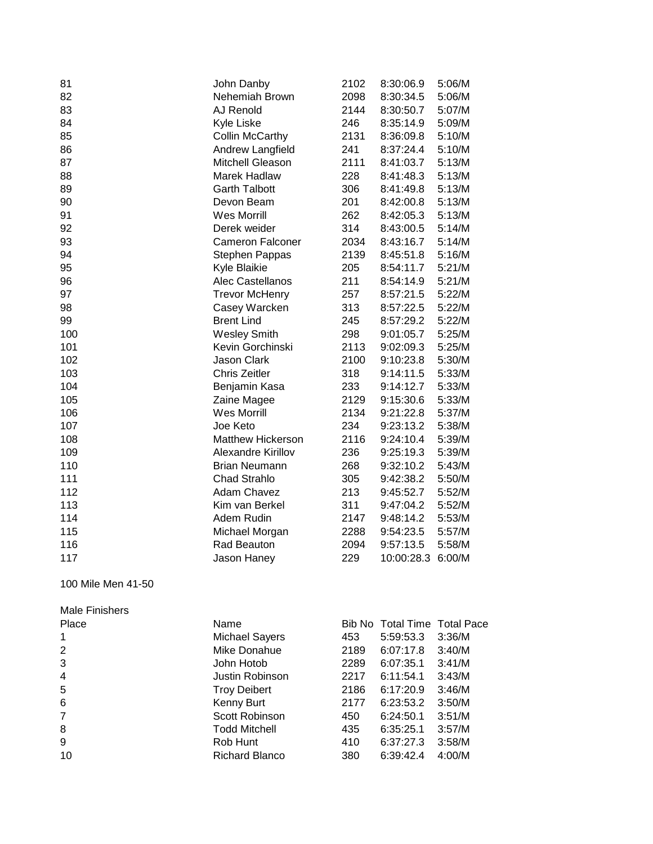| 81  | John Danby               | 2102 | 8:30:06.9  | 5:06/M |
|-----|--------------------------|------|------------|--------|
| 82  | Nehemiah Brown           | 2098 | 8:30:34.5  | 5:06/M |
| 83  | AJ Renold                | 2144 | 8:30:50.7  | 5:07/M |
| 84  | Kyle Liske               | 246  | 8:35:14.9  | 5:09/M |
| 85  | <b>Collin McCarthy</b>   | 2131 | 8:36:09.8  | 5:10/M |
| 86  | Andrew Langfield         | 241  | 8:37:24.4  | 5:10/M |
| 87  | Mitchell Gleason         | 2111 | 8:41:03.7  | 5:13/M |
| 88  | <b>Marek Hadlaw</b>      | 228  | 8:41:48.3  | 5:13/M |
| 89  | <b>Garth Talbott</b>     | 306  | 8:41:49.8  | 5:13/M |
| 90  | Devon Beam               | 201  | 8:42:00.8  | 5:13/M |
| 91  | <b>Wes Morrill</b>       | 262  | 8:42:05.3  | 5:13/M |
| 92  | Derek weider             | 314  | 8:43:00.5  | 5:14/M |
| 93  | <b>Cameron Falconer</b>  | 2034 | 8:43:16.7  | 5:14/M |
| 94  | Stephen Pappas           | 2139 | 8:45:51.8  | 5:16/M |
| 95  | Kyle Blaikie             | 205  | 8:54:11.7  | 5:21/M |
| 96  | Alec Castellanos         | 211  | 8:54:14.9  | 5:21/M |
| 97  | <b>Trevor McHenry</b>    | 257  | 8:57:21.5  | 5:22/M |
| 98  | Casey Warcken            | 313  | 8:57:22.5  | 5:22/M |
| 99  | <b>Brent Lind</b>        | 245  | 8:57:29.2  | 5:22/M |
| 100 | <b>Wesley Smith</b>      | 298  | 9:01:05.7  | 5:25/M |
| 101 | Kevin Gorchinski         | 2113 | 9:02:09.3  | 5:25/M |
| 102 | <b>Jason Clark</b>       | 2100 | 9:10:23.8  | 5:30/M |
| 103 | <b>Chris Zeitler</b>     | 318  | 9:14:11.5  | 5:33/M |
| 104 | Benjamin Kasa            | 233  | 9:14:12.7  | 5:33/M |
| 105 | Zaine Magee              | 2129 | 9:15:30.6  | 5:33/M |
| 106 | <b>Wes Morrill</b>       | 2134 | 9:21:22.8  | 5:37/M |
| 107 | Joe Keto                 | 234  | 9:23:13.2  | 5:38/M |
| 108 | <b>Matthew Hickerson</b> | 2116 | 9:24:10.4  | 5:39/M |
| 109 | Alexandre Kirillov       | 236  | 9:25:19.3  | 5:39/M |
| 110 | <b>Brian Neumann</b>     | 268  | 9:32:10.2  | 5:43/M |
| 111 | <b>Chad Strahlo</b>      | 305  | 9:42:38.2  | 5:50/M |
| 112 | Adam Chavez              | 213  | 9:45:52.7  | 5:52/M |
| 113 | Kim van Berkel           | 311  | 9:47:04.2  | 5:52/M |
| 114 | Adem Rudin               | 2147 | 9:48:14.2  | 5:53/M |
| 115 | Michael Morgan           | 2288 | 9:54:23.5  | 5:57/M |
| 116 | Rad Beauton              | 2094 | 9:57:13.5  | 5:58/M |
| 117 | Jason Haney              | 229  | 10:00:28.3 | 6:00/M |
|     |                          |      |            |        |

100 Mile Men 41-50

| <b>Male Finishers</b> |
|-----------------------|
|                       |
|                       |

| Place          | Name                  |      | Bib No Total Time Total Pace |        |
|----------------|-----------------------|------|------------------------------|--------|
|                | <b>Michael Sayers</b> | 453  | 5:59:53.3                    | 3:36/M |
| 2              | Mike Donahue          | 2189 | 6:07:17.8                    | 3:40/M |
| 3              | John Hotob            | 2289 | 6:07:35.1                    | 3:41/M |
| $\overline{4}$ | Justin Robinson       | 2217 | 6:11:54.1                    | 3:43/M |
| 5              | <b>Troy Deibert</b>   | 2186 | 6:17:20.9                    | 3:46/M |
| 6              | Kenny Burt            | 2177 | 6:23:53.2                    | 3:50/M |
| $\overline{7}$ | Scott Robinson        | 450  | 6:24:50.1                    | 3:51/M |
| 8              | <b>Todd Mitchell</b>  | 435  | 6:35:25.1                    | 3:57/M |
| 9              | Rob Hunt              | 410  | 6:37:27.3                    | 3:58/M |
| 10             | <b>Richard Blanco</b> | 380  | 6:39:42.4                    | 4:00/M |
|                |                       |      |                              |        |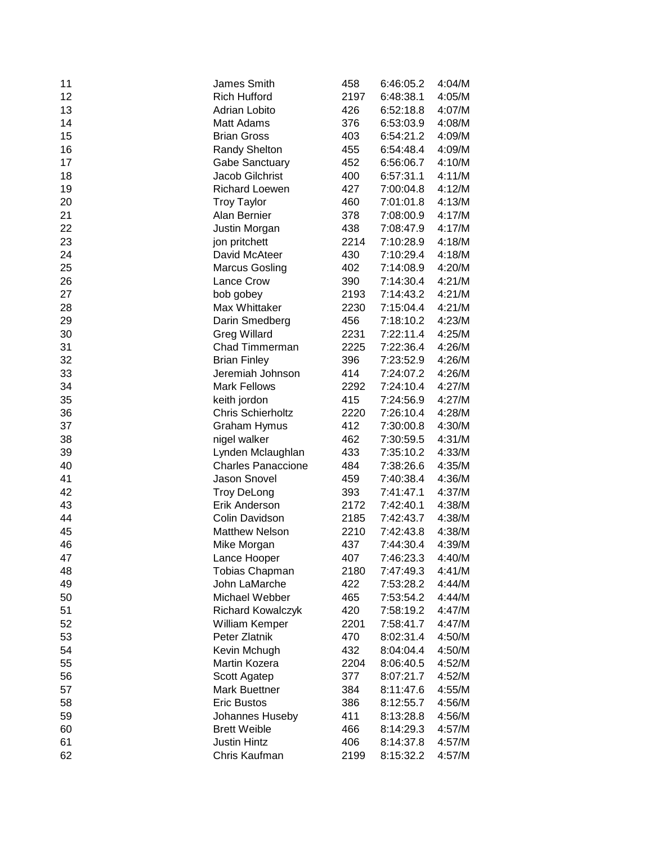| 11 | James Smith                     | 458  | 6:46:05.2 | 4:04/M           |
|----|---------------------------------|------|-----------|------------------|
| 12 | <b>Rich Hufford</b>             | 2197 | 6:48:38.1 | 4:05/M           |
| 13 | Adrian Lobito                   | 426  | 6:52:18.8 | 4:07/M           |
| 14 | <b>Matt Adams</b>               | 376  | 6:53:03.9 | 4:08/M           |
| 15 | <b>Brian Gross</b>              | 403  | 6:54:21.2 | 4:09/M           |
| 16 | <b>Randy Shelton</b>            | 455  | 6:54:48.4 | 4:09/M           |
| 17 | <b>Gabe Sanctuary</b>           | 452  | 6:56:06.7 | 4:10/M           |
| 18 | Jacob Gilchrist                 | 400  | 6:57:31.1 | 4:11/M           |
| 19 | <b>Richard Loewen</b>           | 427  | 7:00:04.8 | 4:12/M           |
| 20 | <b>Troy Taylor</b>              | 460  | 7:01:01.8 | 4:13/M           |
| 21 | Alan Bernier                    | 378  | 7:08:00.9 | 4:17/M           |
| 22 | Justin Morgan                   | 438  | 7:08:47.9 | 4:17/M           |
| 23 | jon pritchett                   | 2214 | 7:10:28.9 | 4:18/M           |
| 24 | David McAteer                   | 430  | 7:10:29.4 | 4:18/M           |
| 25 | <b>Marcus Gosling</b>           | 402  | 7:14:08.9 | 4:20/M           |
| 26 | Lance Crow                      | 390  | 7:14:30.4 | 4:21/M           |
| 27 | bob gobey                       | 2193 | 7:14:43.2 | 4:21/M           |
| 28 | Max Whittaker                   | 2230 | 7:15:04.4 | 4:21/M           |
| 29 | Darin Smedberg                  | 456  | 7:18:10.2 | 4:23/M           |
| 30 | <b>Greg Willard</b>             | 2231 | 7:22:11.4 | 4:25/M           |
| 31 | Chad Timmerman                  | 2225 | 7:22:36.4 | 4:26/M           |
| 32 | <b>Brian Finley</b>             | 396  | 7:23:52.9 | 4:26/M           |
| 33 | Jeremiah Johnson                | 414  | 7:24:07.2 | 4:26/M           |
| 34 | <b>Mark Fellows</b>             | 2292 | 7:24:10.4 | 4:27/M           |
| 35 | keith jordon                    | 415  | 7:24:56.9 | 4:27/M           |
| 36 | Chris Schierholtz               | 2220 | 7:26:10.4 | 4:28/M           |
| 37 | Graham Hymus                    | 412  | 7:30:00.8 | 4:30/M           |
| 38 | nigel walker                    | 462  | 7:30:59.5 | 4:31/M           |
| 39 | Lynden Mclaughlan               | 433  | 7:35:10.2 | 4:33/M           |
| 40 | <b>Charles Panaccione</b>       | 484  | 7:38:26.6 | 4:35/M           |
| 41 | Jason Snovel                    | 459  | 7:40:38.4 | 4:36/M           |
| 42 | <b>Troy DeLong</b>              | 393  | 7:41:47.1 | 4:37/M           |
| 43 | Erik Anderson                   | 2172 | 7:42:40.1 | 4:38/M           |
| 44 | Colin Davidson                  | 2185 | 7:42:43.7 | 4:38/M           |
| 45 | <b>Matthew Nelson</b>           | 2210 | 7:42:43.8 | 4:38/M           |
| 46 | Mike Morgan                     | 437  | 7:44:30.4 | 4:39/M           |
| 47 |                                 | 407  | 7:46:23.3 | 4:40/M           |
| 48 | Lance Hooper<br>Tobias Chapman  | 2180 | 7:47:49.3 | 4:41/M           |
| 49 | John LaMarche                   | 422  | 7:53:28.2 | 4:44/M           |
| 50 | Michael Webber                  | 465  | 7:53:54.2 | 4:44/M           |
|    |                                 | 420  | 7:58:19.2 | 4:47/M           |
| 51 | Richard Kowalczyk               |      |           |                  |
| 52 | William Kemper<br>Peter Zlatnik | 2201 | 7:58:41.7 | 4:47/M<br>4:50/M |
| 53 |                                 | 470  | 8:02:31.4 |                  |
| 54 | Kevin Mchugh                    | 432  | 8:04:04.4 | 4:50/M           |
| 55 | Martin Kozera                   | 2204 | 8:06:40.5 | 4:52/M           |
| 56 | Scott Agatep                    | 377  | 8:07:21.7 | 4:52/M           |
| 57 | <b>Mark Buettner</b>            | 384  | 8:11:47.6 | 4:55/M           |
| 58 | <b>Eric Bustos</b>              | 386  | 8:12:55.7 | 4:56/M           |
| 59 | Johannes Huseby                 | 411  | 8:13:28.8 | 4:56/M           |
| 60 | <b>Brett Weible</b>             | 466  | 8:14:29.3 | 4:57/M           |
| 61 | <b>Justin Hintz</b>             | 406  | 8:14:37.8 | 4:57/M           |
| 62 | Chris Kaufman                   | 2199 | 8:15:32.2 | 4:57/M           |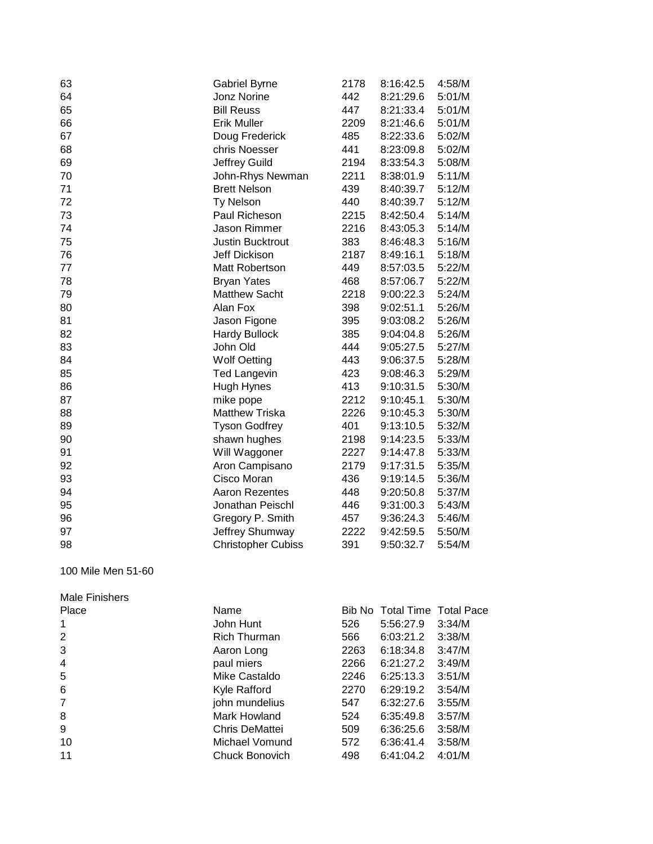| 63                     | <b>Gabriel Byrne</b>      | 2178 | 8:16:42.5 | 4:58/M |
|------------------------|---------------------------|------|-----------|--------|
| 64                     | Jonz Norine               | 442  | 8:21:29.6 | 5:01/M |
| 65                     | <b>Bill Reuss</b>         | 447  | 8:21:33.4 | 5:01/M |
| 66                     | <b>Erik Muller</b>        | 2209 | 8:21:46.6 | 5:01/M |
| 67                     | Doug Frederick            | 485  | 8:22:33.6 | 5:02/M |
| 68                     | chris Noesser             | 441  | 8:23:09.8 | 5:02/M |
| 69                     | Jeffrey Guild             | 2194 | 8:33:54.3 | 5:08/M |
| 70                     | John-Rhys Newman          | 2211 | 8:38:01.9 | 5:11/M |
| 71                     | <b>Brett Nelson</b>       | 439  | 8:40:39.7 | 5:12/M |
| 72                     | <b>Ty Nelson</b>          | 440  | 8:40:39.7 | 5:12/M |
| 73                     | Paul Richeson             | 2215 | 8:42:50.4 | 5:14/M |
| 74                     | Jason Rimmer              | 2216 | 8:43:05.3 | 5:14/M |
| 75                     | Justin Bucktrout          | 383  | 8:46:48.3 | 5:16/M |
| 76                     | Jeff Dickison             | 2187 | 8:49:16.1 | 5:18/M |
| 77                     | Matt Robertson            | 449  | 8:57:03.5 | 5:22/M |
| 78                     | <b>Bryan Yates</b>        | 468  | 8:57:06.7 | 5:22/M |
| 79                     | <b>Matthew Sacht</b>      | 2218 | 9:00:22.3 | 5:24/M |
| 80                     | Alan Fox                  | 398  | 9:02:51.1 | 5:26/M |
| 81                     | Jason Figone              | 395  | 9:03:08.2 | 5:26/M |
| 82                     | <b>Hardy Bullock</b>      | 385  | 9:04:04.8 | 5:26/M |
| 83                     | John Old                  | 444  | 9:05:27.5 | 5:27/M |
| 84                     | <b>Wolf Oetting</b>       | 443  | 9:06:37.5 | 5:28/M |
| 85                     | <b>Ted Langevin</b>       | 423  | 9:08:46.3 | 5:29/M |
| 86                     | Hugh Hynes                | 413  | 9:10:31.5 | 5:30/M |
| 87                     | mike pope                 | 2212 | 9:10:45.1 | 5:30/M |
| 88                     | <b>Matthew Triska</b>     | 2226 | 9:10:45.3 | 5:30/M |
| 89                     | <b>Tyson Godfrey</b>      | 401  | 9:13:10.5 | 5:32/M |
| 90                     | shawn hughes              | 2198 | 9:14:23.5 | 5:33/M |
| 91                     | Will Waggoner             | 2227 | 9:14:47.8 | 5:33/M |
| 92                     | Aron Campisano            | 2179 | 9:17:31.5 | 5:35/M |
| 93                     | Cisco Moran               | 436  | 9:19:14.5 | 5:36/M |
| 94                     | <b>Aaron Rezentes</b>     | 448  | 9:20:50.8 | 5:37/M |
| 95                     | Jonathan Peischl          | 446  | 9:31:00.3 | 5:43/M |
| 96                     | Gregory P. Smith          | 457  | 9:36:24.3 | 5:46/M |
| 97                     | Jeffrey Shumway           | 2222 | 9:42:59.5 | 5:50/M |
| 98                     | <b>Christopher Cubiss</b> | 391  | 9:50:32.7 | 5:54/M |
| $100$ Mile Men $E1$ CO |                           |      |           |        |

### 100 Mile Men 51-60

| Male Finishers |                     |      |                              |        |
|----------------|---------------------|------|------------------------------|--------|
| Place          | Name                |      | Bib No Total Time Total Pace |        |
|                | John Hunt           | 526  | 5:56:27.9                    | 3:34/M |
| 2              | <b>Rich Thurman</b> | 566  | 6:03:21.2                    | 3:38/M |
| 3              | Aaron Long          | 2263 | 6:18:34.8                    | 3:47/M |
| $\overline{4}$ | paul miers          | 2266 | 6:21:27.2                    | 3:49/M |
| 5              | Mike Castaldo       | 2246 | 6:25:13.3                    | 3:51/M |
| 6              | Kyle Rafford        | 2270 | 6:29:19.2                    | 3:54/M |
| 7              | john mundelius      | 547  | 6:32:27.6                    | 3:55/M |
| 8              | Mark Howland        | 524  | 6:35:49.8                    | 3:57/M |
| 9              | Chris DeMattei      | 509  | 6:36:25.6                    | 3:58/M |
| 10             | Michael Vomund      | 572  | 6:36:41.4                    | 3:58/M |
| 11             | Chuck Bonovich      | 498  | 6:41:04.2                    | 4:01/M |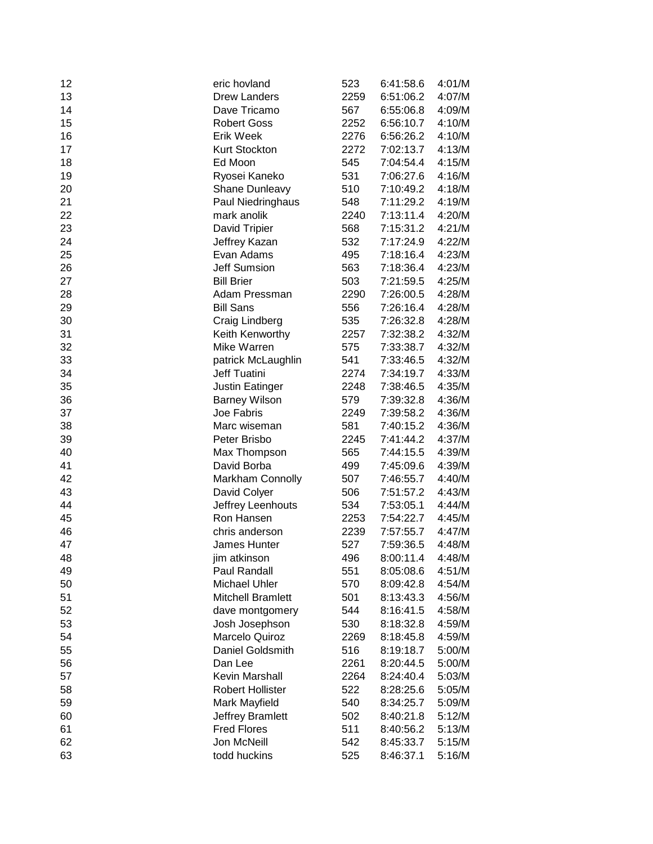| 12 | eric hovland             | 523  | 6:41:58.6 | 4:01/M |
|----|--------------------------|------|-----------|--------|
| 13 | <b>Drew Landers</b>      | 2259 | 6:51:06.2 | 4:07/M |
| 14 | Dave Tricamo             | 567  | 6:55:06.8 | 4:09/M |
| 15 | <b>Robert Goss</b>       | 2252 | 6:56:10.7 | 4:10/M |
| 16 | <b>Erik Week</b>         | 2276 | 6:56:26.2 | 4:10/M |
| 17 | Kurt Stockton            | 2272 | 7:02:13.7 | 4:13/M |
| 18 | Ed Moon                  | 545  | 7:04:54.4 | 4:15/M |
| 19 | Ryosei Kaneko            | 531  | 7:06:27.6 | 4:16/M |
| 20 | Shane Dunleavy           | 510  | 7:10:49.2 | 4:18/M |
| 21 | Paul Niedringhaus        | 548  | 7:11:29.2 | 4:19/M |
| 22 | mark anolik              | 2240 | 7:13:11.4 | 4:20/M |
| 23 | David Tripier            | 568  | 7:15:31.2 | 4:21/M |
| 24 | Jeffrey Kazan            | 532  | 7:17:24.9 | 4:22/M |
| 25 | Evan Adams               | 495  | 7:18:16.4 | 4:23/M |
| 26 | <b>Jeff Sumsion</b>      | 563  | 7:18:36.4 | 4:23/M |
| 27 | <b>Bill Brier</b>        | 503  | 7:21:59.5 | 4:25/M |
| 28 | Adam Pressman            | 2290 | 7:26:00.5 | 4:28/M |
| 29 | <b>Bill Sans</b>         | 556  | 7:26:16.4 | 4:28/M |
| 30 | Craig Lindberg           | 535  | 7:26:32.8 | 4:28/M |
| 31 | Keith Kenworthy          | 2257 | 7:32:38.2 | 4:32/M |
| 32 | Mike Warren              | 575  | 7:33:38.7 | 4:32/M |
| 33 | patrick McLaughlin       | 541  | 7:33:46.5 | 4:32/M |
| 34 | Jeff Tuatini             | 2274 | 7:34:19.7 | 4:33/M |
| 35 | Justin Eatinger          | 2248 | 7:38:46.5 | 4:35/M |
| 36 | <b>Barney Wilson</b>     | 579  | 7:39:32.8 | 4:36/M |
| 37 | Joe Fabris               | 2249 | 7:39:58.2 | 4:36/M |
| 38 | Marc wiseman             | 581  | 7:40:15.2 | 4:36/M |
| 39 | Peter Brisbo             | 2245 | 7:41:44.2 | 4:37/M |
| 40 | Max Thompson             | 565  | 7:44:15.5 | 4:39/M |
| 41 | David Borba              | 499  | 7:45:09.6 | 4:39/M |
| 42 | Markham Connolly         | 507  | 7:46:55.7 | 4:40/M |
| 43 | David Colyer             | 506  | 7:51:57.2 | 4:43/M |
| 44 | Jeffrey Leenhouts        | 534  | 7:53:05.1 | 4:44/M |
| 45 | Ron Hansen               | 2253 | 7:54:22.7 | 4:45/M |
| 46 | chris anderson           | 2239 | 7:57:55.7 | 4:47/M |
| 47 | James Hunter             | 527  | 7:59:36.5 | 4:48/M |
| 48 | jim atkinson             | 496  | 8:00:11.4 | 4:48/M |
| 49 | Paul Randall             | 551  | 8:05:08.6 | 4:51/M |
| 50 | Michael Uhler            | 570  | 8:09:42.8 | 4:54/M |
| 51 | <b>Mitchell Bramlett</b> | 501  | 8:13:43.3 | 4:56/M |
| 52 | dave montgomery          | 544  | 8:16:41.5 | 4:58/M |
| 53 | Josh Josephson           | 530  | 8:18:32.8 | 4:59/M |
| 54 | Marcelo Quiroz           | 2269 | 8:18:45.8 | 4:59/M |
| 55 | Daniel Goldsmith         | 516  | 8:19:18.7 | 5:00/M |
| 56 | Dan Lee                  | 2261 | 8:20:44.5 | 5:00/M |
| 57 | Kevin Marshall           | 2264 | 8:24:40.4 | 5:03/M |
| 58 | Robert Hollister         | 522  | 8:28:25.6 | 5:05/M |
| 59 | Mark Mayfield            | 540  | 8:34:25.7 | 5:09/M |
| 60 | Jeffrey Bramlett         | 502  | 8:40:21.8 | 5:12/M |
| 61 | <b>Fred Flores</b>       | 511  | 8:40:56.2 | 5:13/M |
| 62 | Jon McNeill              | 542  | 8:45:33.7 | 5:15/M |
| 63 | todd huckins             | 525  | 8:46:37.1 | 5:16/M |
|    |                          |      |           |        |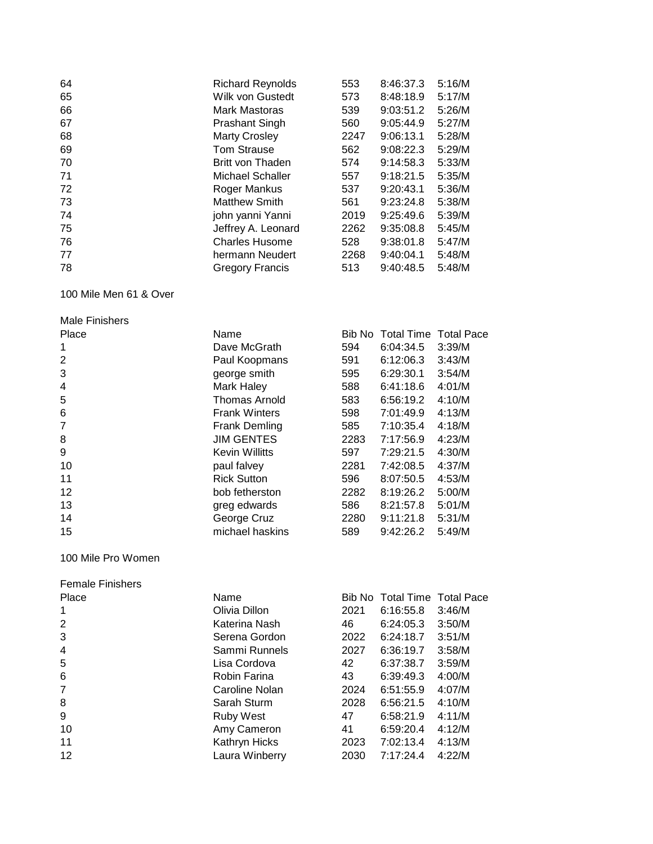| 64 | <b>Richard Reynolds</b> | 553  | 8:46:37.3 | 5:16/M |
|----|-------------------------|------|-----------|--------|
| 65 | Wilk von Gustedt        | 573  | 8:48:18.9 | 5:17/M |
| 66 | Mark Mastoras           | 539  | 9:03:51.2 | 5:26/M |
| 67 | <b>Prashant Singh</b>   | 560  | 9:05:44.9 | 5:27/M |
| 68 | <b>Marty Crosley</b>    | 2247 | 9:06:13.1 | 5:28/M |
| 69 | <b>Tom Strause</b>      | 562  | 9:08:22.3 | 5:29/M |
| 70 | Britt von Thaden        | 574  | 9:14:58.3 | 5:33/M |
| 71 | Michael Schaller        | 557  | 9:18:21.5 | 5:35/M |
| 72 | Roger Mankus            | 537  | 9:20:43.1 | 5:36/M |
| 73 | <b>Matthew Smith</b>    | 561  | 9:23:24.8 | 5:38/M |
| 74 | john yanni Yanni        | 2019 | 9:25:49.6 | 5:39/M |
| 75 | Jeffrey A. Leonard      | 2262 | 9:35:08.8 | 5:45/M |
| 76 | <b>Charles Husome</b>   | 528  | 9:38:01.8 | 5:47/M |
| 77 | hermann Neudert         | 2268 | 9:40:04.1 | 5:48/M |
| 78 | <b>Gregory Francis</b>  | 513  | 9:40:48.5 | 5:48/M |

100 Mile Men 61 & Over

| <b>Male Finishers</b> |                       |      |                              |        |
|-----------------------|-----------------------|------|------------------------------|--------|
| Place                 | Name                  |      | Bib No Total Time Total Pace |        |
| 1                     | Dave McGrath          | 594  | 6:04:34.5                    | 3:39/M |
| $\overline{2}$        | Paul Koopmans         | 591  | 6:12:06.3                    | 3:43/M |
| 3                     | george smith          | 595  | 6:29:30.1                    | 3:54/M |
| 4                     | Mark Haley            | 588  | 6:41:18.6                    | 4:01/M |
| 5                     | <b>Thomas Arnold</b>  | 583  | 6:56:19.2                    | 4:10/M |
| 6                     | <b>Frank Winters</b>  | 598  | 7:01:49.9                    | 4:13/M |
| $\overline{7}$        | <b>Frank Demling</b>  | 585  | 7:10:35.4                    | 4:18/M |
| 8                     | <b>JIM GENTES</b>     | 2283 | 7:17:56.9                    | 4:23/M |
| 9                     | <b>Kevin Willitts</b> | 597  | 7:29:21.5                    | 4:30/M |
| 10                    | paul falvey           | 2281 | 7:42:08.5                    | 4:37/M |
| 11                    | <b>Rick Sutton</b>    | 596  | 8:07:50.5                    | 4:53/M |
| 12                    | bob fetherston        | 2282 | 8:19:26.2                    | 5:00/M |
| 13                    | greg edwards          | 586  | 8:21:57.8                    | 5:01/M |
| 14                    | George Cruz           | 2280 | 9:11:21.8                    | 5:31/M |
| 15                    | michael haskins       | 589  | 9:42:26.2                    | 5:49/M |

100 Mile Pro Women

| <b>Female Finishers</b> |
|-------------------------|
|-------------------------|

| Place | Name             |      | Bib No Total Time Total Pace |        |
|-------|------------------|------|------------------------------|--------|
|       | Olivia Dillon    | 2021 | 6:16:55.8                    | 3:46/M |
| 2     | Katerina Nash    | 46   | 6:24:05.3                    | 3:50/M |
| 3     | Serena Gordon    | 2022 | 6:24:18.7                    | 3:51/M |
| 4     | Sammi Runnels    | 2027 | 6:36:19.7                    | 3:58/M |
| 5     | Lisa Cordova     | 42   | 6:37:38.7                    | 3:59/M |
| 6     | Robin Farina     | 43   | 6:39:49.3                    | 4:00/M |
| 7     | Caroline Nolan   | 2024 | 6:51:55.9                    | 4:07/M |
| 8     | Sarah Sturm      | 2028 | 6:56:21.5                    | 4:10/M |
| 9     | <b>Ruby West</b> | 47   | 6:58:21.9                    | 4:11/M |
| 10    | Amy Cameron      | 41   | 6:59:20.4                    | 4:12/M |
| 11    | Kathryn Hicks    | 2023 | 7:02:13.4                    | 4:13/M |
| 12    | Laura Winberry   | 2030 | 7:17:24.4                    | 4:22/M |
|       |                  |      |                              |        |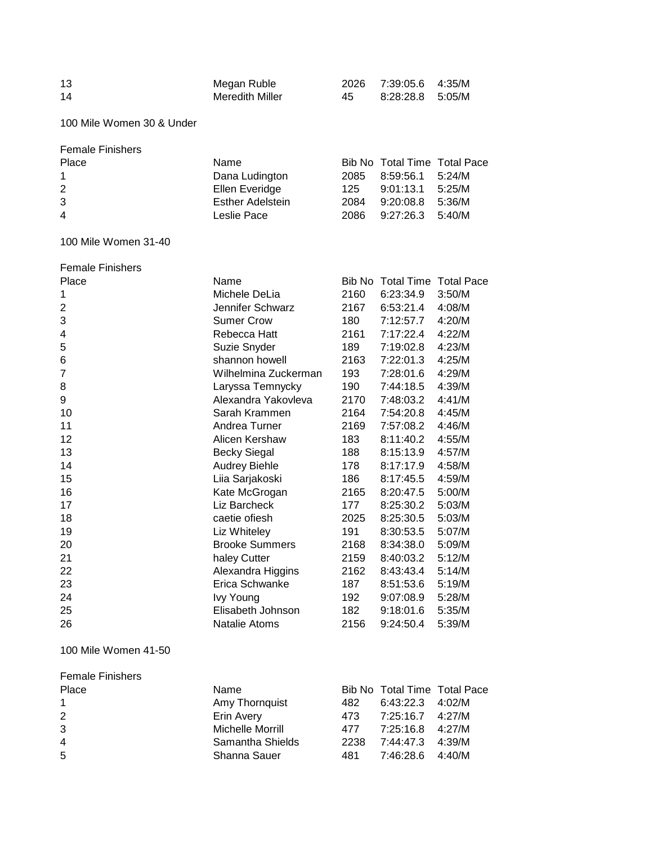| 13 | Megan Ruble     |    | 2026 7:39:05.6 4:35/M |  |
|----|-----------------|----|-----------------------|--|
| 14 | Meredith Miller | 45 | 8:28:28.8 5:05/M      |  |

100 Mile Women 30 & Under

| <b>Female Finishers</b> |                         |      |                              |  |
|-------------------------|-------------------------|------|------------------------------|--|
| Place                   | Name                    |      | Bib No Total Time Total Pace |  |
| $\mathbf{1}$            | Dana Ludington          | 2085 | 8:59:56.1 5:24/M             |  |
| 2                       | Ellen Everidge          |      | 125 9:01:13.1 5:25/M         |  |
| 3                       | <b>Esther Adelstein</b> | 2084 | 9:20:08.8 5:36/M             |  |
| $\overline{4}$          | Leslie Pace             |      | 2086 9:27:26.3 5:40/M        |  |

100 Mile Women 31-40

| <b>Female Finishers</b> |                       |        |                              |        |
|-------------------------|-----------------------|--------|------------------------------|--------|
| Place                   | Name                  | Bib No | <b>Total Time Total Pace</b> |        |
| 1                       | Michele DeLia         | 2160   | 6:23:34.9                    | 3:50/M |
| $\overline{2}$          | Jennifer Schwarz      | 2167   | 6:53:21.4                    | 4:08/M |
| 3                       | <b>Sumer Crow</b>     | 180    | 7:12:57.7                    | 4:20/M |
| 4                       | Rebecca Hatt          | 2161   | 7:17:22.4                    | 4:22/M |
| 5                       | Suzie Snyder          | 189    | 7:19:02.8                    | 4:23/M |
| 6                       | shannon howell        | 2163   | 7:22:01.3                    | 4:25/M |
| 7                       | Wilhelmina Zuckerman  | 193    | 7:28:01.6                    | 4:29/M |
| 8                       | Laryssa Temnycky      | 190    | 7:44:18.5                    | 4:39/M |
| 9                       | Alexandra Yakovleva   | 2170   | 7:48:03.2                    | 4:41/M |
| 10                      | Sarah Krammen         | 2164   | 7:54:20.8                    | 4:45/M |
| 11                      | Andrea Turner         | 2169   | 7:57:08.2                    | 4:46/M |
| 12                      | Alicen Kershaw        | 183    | 8:11:40.2                    | 4:55/M |
| 13                      | <b>Becky Siegal</b>   | 188    | 8:15:13.9                    | 4:57/M |
| 14                      | <b>Audrey Biehle</b>  | 178    | 8:17:17.9                    | 4:58/M |
| 15                      | Liia Sarjakoski       | 186    | 8:17:45.5                    | 4:59/M |
| 16                      | Kate McGrogan         | 2165   | 8:20:47.5                    | 5:00/M |
| 17                      | Liz Barcheck          | 177    | 8:25:30.2                    | 5:03/M |
| 18                      | caetie ofiesh         | 2025   | 8:25:30.5                    | 5:03/M |
| 19                      | Liz Whiteley          | 191    | 8:30:53.5                    | 5:07/M |
| 20                      | <b>Brooke Summers</b> | 2168   | 8:34:38.0                    | 5:09/M |
| 21                      | haley Cutter          | 2159   | 8:40:03.2                    | 5:12/M |
| 22                      | Alexandra Higgins     | 2162   | 8:43:43.4                    | 5:14/M |
| 23                      | Erica Schwanke        | 187    | 8:51:53.6                    | 5:19/M |
| 24                      | <b>Ivy Young</b>      | 192    | 9:07:08.9                    | 5:28/M |
| 25                      | Elisabeth Johnson     | 182    | 9:18:01.6                    | 5:35/M |
| 26                      | Natalie Atoms         | 2156   | 9:24:50.4                    | 5:39/M |

#### 100 Mile Women 41-50

| <b>Female Finishers</b> |                  |      |                              |        |
|-------------------------|------------------|------|------------------------------|--------|
| Place                   | Name             |      | Bib No Total Time Total Pace |        |
|                         | Amy Thornquist   | 482  | $6:43:22.3$ 4:02/M           |        |
| 2                       | Erin Avery       | 473. | 7:25:16.7 4:27/M             |        |
| 3                       | Michelle Morrill | 477  | 7:25:16.8 4:27/M             |        |
| $\overline{4}$          | Samantha Shields | 2238 | 7:44:47.3                    | 4:39/M |
| -5                      | Shanna Sauer     | 481  | 7:46:28.6                    | 4:40/M |